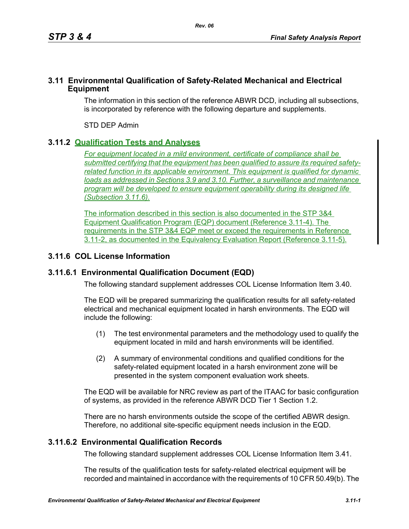### **3.11 Environmental Qualification of Safety-Related Mechanical and Electrical Equipment**

The information in this section of the reference ABWR DCD, including all subsections, is incorporated by reference with the following departure and supplements.

STD DEP Admin

## **3.11.2 Qualification Tests and Analyses**

*For equipment located in a mild environment, certificate of compliance shall be submitted certifying that the equipment has been qualified to assure its required safetyrelated function in its applicable environment. This equipment is qualified for dynamic loads as addressed in Sections 3.9 and 3.10. Further, a surveillance and maintenance program will be developed to ensure equipment operability during its designed life (Subsection 3.11.6).*

The information described in this section is also documented in the STP 3&4 Equipment Qualification Program (EQP) document (Reference 3.11-4). The requirements in the STP 3&4 EQP meet or exceed the requirements in Reference 3.11-2, as documented in the Equivalency Evaluation Report (Reference 3.11-5).

## **3.11.6 COL License Information**

### **3.11.6.1 Environmental Qualification Document (EQD)**

The following standard supplement addresses COL License Information Item 3.40.

The EQD will be prepared summarizing the qualification results for all safety-related electrical and mechanical equipment located in harsh environments. The EQD will include the following:

- (1) The test environmental parameters and the methodology used to qualify the equipment located in mild and harsh environments will be identified.
- (2) A summary of environmental conditions and qualified conditions for the safety-related equipment located in a harsh environment zone will be presented in the system component evaluation work sheets.

The EQD will be available for NRC review as part of the ITAAC for basic configuration of systems, as provided in the reference ABWR DCD Tier 1 Section 1.2.

There are no harsh environments outside the scope of the certified ABWR design. Therefore, no additional site-specific equipment needs inclusion in the EQD.

### **3.11.6.2 Environmental Qualification Records**

The following standard supplement addresses COL License Information Item 3.41.

The results of the qualification tests for safety-related electrical equipment will be recorded and maintained in accordance with the requirements of 10 CFR 50.49(b). The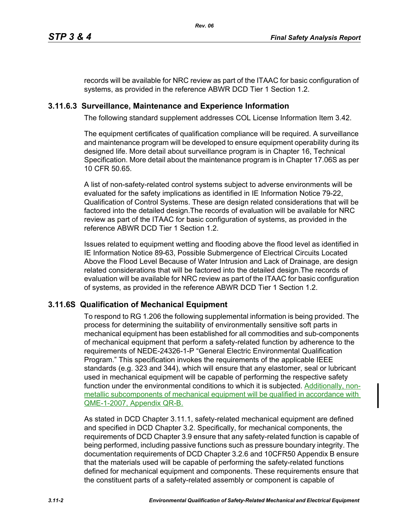records will be available for NRC review as part of the ITAAC for basic configuration of systems, as provided in the reference ABWR DCD Tier 1 Section 1.2.

## **3.11.6.3 Surveillance, Maintenance and Experience Information**

The following standard supplement addresses COL License Information Item 3.42.

The equipment certificates of qualification compliance will be required. A surveillance and maintenance program will be developed to ensure equipment operability during its designed life. More detail about surveillance program is in Chapter 16, Technical Specification. More detail about the maintenance program is in Chapter 17.06S as per 10 CFR 50.65.

A list of non-safety-related control systems subject to adverse environments will be evaluated for the safety implications as identified in IE Information Notice 79-22, Qualification of Control Systems. These are design related considerations that will be factored into the detailed design.The records of evaluation will be available for NRC review as part of the ITAAC for basic configuration of systems, as provided in the reference ABWR DCD Tier 1 Section 1.2.

Issues related to equipment wetting and flooding above the flood level as identified in IE Information Notice 89-63, Possible Submergence of Electrical Circuits Located Above the Flood Level Because of Water Intrusion and Lack of Drainage, are design related considerations that will be factored into the detailed design.The records of evaluation will be available for NRC review as part of the ITAAC for basic configuration of systems, as provided in the reference ABWR DCD Tier 1 Section 1.2.

# **3.11.6S Qualification of Mechanical Equipment**

To respond to RG 1.206 the following supplemental information is being provided. The process for determining the suitability of environmentally sensitive soft parts in mechanical equipment has been established for all commodities and sub-components of mechanical equipment that perform a safety-related function by adherence to the requirements of NEDE-24326-1-P "General Electric Environmental Qualification Program." This specification invokes the requirements of the applicable IEEE standards (e.g. 323 and 344), which will ensure that any elastomer, seal or lubricant used in mechanical equipment will be capable of performing the respective safety function under the environmental conditions to which it is subjected. Additionally, nonmetallic subcomponents of mechanical equipment will be qualified in accordance with QME-1-2007, Appendix QR-B.

As stated in DCD Chapter 3.11.1, safety-related mechanical equipment are defined and specified in DCD Chapter 3.2. Specifically, for mechanical components, the requirements of DCD Chapter 3.9 ensure that any safety-related function is capable of being performed, including passive functions such as pressure boundary integrity. The documentation requirements of DCD Chapter 3.2.6 and 10CFR50 Appendix B ensure that the materials used will be capable of performing the safety-related functions defined for mechanical equipment and components. These requirements ensure that the constituent parts of a safety-related assembly or component is capable of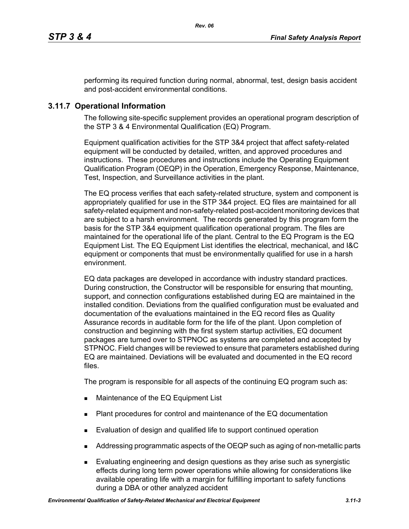performing its required function during normal, abnormal, test, design basis accident and post-accident environmental conditions.

## **3.11.7 Operational Information**

The following site-specific supplement provides an operational program description of the STP 3 & 4 Environmental Qualification (EQ) Program.

Equipment qualification activities for the STP 3&4 project that affect safety-related equipment will be conducted by detailed, written, and approved procedures and instructions. These procedures and instructions include the Operating Equipment Qualification Program (OEQP) in the Operation, Emergency Response, Maintenance, Test, Inspection, and Surveillance activities in the plant.

The EQ process verifies that each safety-related structure, system and component is appropriately qualified for use in the STP 3&4 project. EQ files are maintained for all safety-related equipment and non-safety-related post-accident monitoring devices that are subject to a harsh environment. The records generated by this program form the basis for the STP 3&4 equipment qualification operational program. The files are maintained for the operational life of the plant. Central to the EQ Program is the EQ Equipment List. The EQ Equipment List identifies the electrical, mechanical, and I&C equipment or components that must be environmentally qualified for use in a harsh environment.

EQ data packages are developed in accordance with industry standard practices. During construction, the Constructor will be responsible for ensuring that mounting, support, and connection configurations established during EQ are maintained in the installed condition. Deviations from the qualified configuration must be evaluated and documentation of the evaluations maintained in the EQ record files as Quality Assurance records in auditable form for the life of the plant. Upon completion of construction and beginning with the first system startup activities, EQ document packages are turned over to STPNOC as systems are completed and accepted by STPNOC. Field changes will be reviewed to ensure that parameters established during EQ are maintained. Deviations will be evaluated and documented in the EQ record files.

The program is responsible for all aspects of the continuing EQ program such as:

- **Maintenance of the EQ Equipment List**
- Plant procedures for control and maintenance of the EQ documentation
- **Evaluation of design and qualified life to support continued operation**
- Addressing programmatic aspects of the OEQP such as aging of non-metallic parts
- Evaluating engineering and design questions as they arise such as synergistic effects during long term power operations while allowing for considerations like available operating life with a margin for fulfilling important to safety functions during a DBA or other analyzed accident